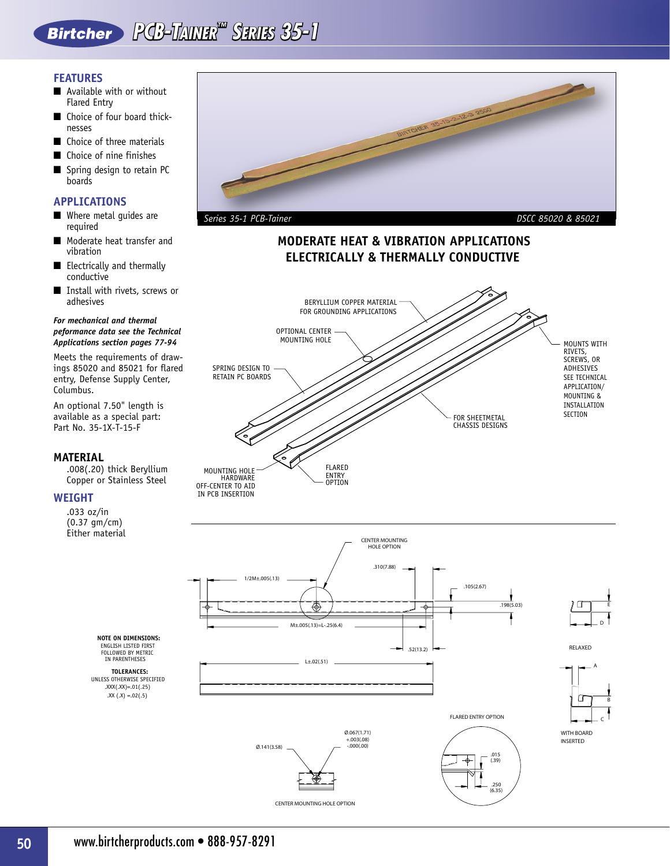# **PCB-TAINER™ SERIES 35-1**

# **FEATURES**

- Available with or without Flared Entry
- Choice of four board thicknesses
- Choice of three materials
- Choice of nine finishes
- Spring design to retain PC boards

# **APPLICATIONS**

- Where metal quides are required
- Moderate heat transfer and vibration
- Electrically and thermally conductive
- Install with rivets, screws or adhesives

### *For mechanical and thermal peformance data see the Technical Applications section pages 77-94*

Meets the requirements of drawings 85020 and 85021 for flared entry, Defense Supply Center, Columbus.

An optional 7.50" length is available as a special part: Part No. 35-1X-T-15-F

## **MATERIAL**

 .008(.20) thick Beryllium Copper or Stainless Steel

## **WEIGHT**

 .033 oz/in (0.37 gm/cm) Either material



# **MODERATE HEAT & VIBRATION APPLICATIONS ELECTRICALLY & THERMALLY CONDUCTIVE**





Ø.067(1.71) +.003(.08)

 $\varnothing$ .141(3.58)  $\longrightarrow$  -.000(.00)

CENTER MOUNTING HOLE OPTION

ENGLISH LISTED FIRST **NOTE ON DIMENSIONS:** FOLLOWED BY METRIC IN PARENTHESES

.XX  $(X) = .02(.5)$ .XXX(.XX)=.01(.25) **TOLERANCES:** UNLESS OTHERWISE SPECIFIED



RELAXED D E

A B C